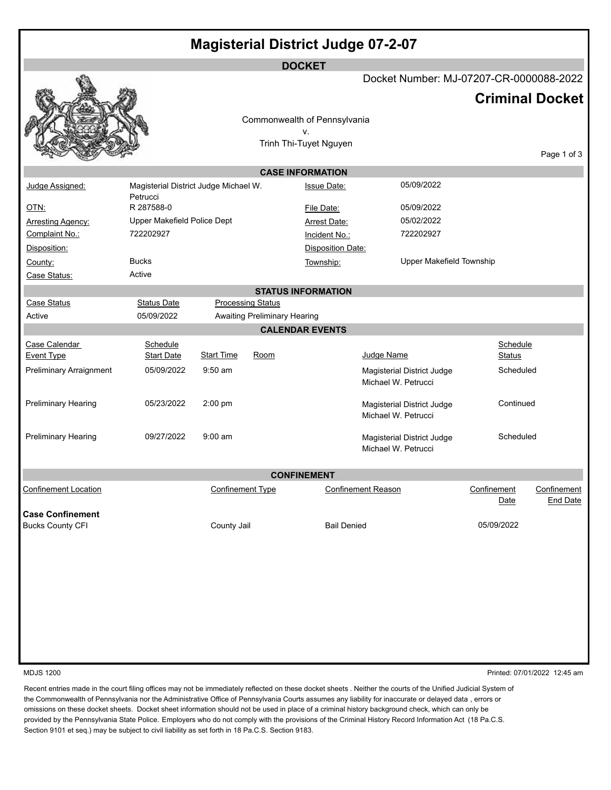| <b>Magisterial District Judge 07-2-07</b> |                                       |                         |                                     |                              |                                         |                     |                                |
|-------------------------------------------|---------------------------------------|-------------------------|-------------------------------------|------------------------------|-----------------------------------------|---------------------|--------------------------------|
| <b>DOCKET</b>                             |                                       |                         |                                     |                              |                                         |                     |                                |
|                                           |                                       |                         |                                     |                              | Docket Number: MJ-07207-CR-0000088-2022 |                     |                                |
|                                           |                                       |                         |                                     |                              |                                         |                     | <b>Criminal Docket</b>         |
|                                           |                                       |                         |                                     |                              |                                         |                     |                                |
|                                           |                                       |                         |                                     | Commonwealth of Pennsylvania |                                         |                     |                                |
|                                           |                                       |                         |                                     | ν.<br>Trinh Thi-Tuyet Nguyen |                                         |                     |                                |
|                                           |                                       |                         |                                     |                              |                                         |                     | Page 1 of 3                    |
| <b>CASE INFORMATION</b>                   |                                       |                         |                                     |                              |                                         |                     |                                |
| Judge Assigned:                           | Magisterial District Judge Michael W. |                         |                                     | <b>Issue Date:</b>           | 05/09/2022                              |                     |                                |
|                                           | Petrucci                              |                         |                                     |                              |                                         |                     |                                |
| <u>OTN:</u>                               | R 287588-0                            |                         |                                     | File Date:                   | 05/09/2022                              |                     |                                |
| Arresting Agency:                         | Upper Makefield Police Dept           |                         |                                     | Arrest Date:                 | 05/02/2022                              |                     |                                |
| Complaint No.:                            | 722202927                             |                         |                                     | Incident No.:                | 722202927                               |                     |                                |
| Disposition:                              |                                       |                         |                                     | <b>Disposition Date:</b>     |                                         |                     |                                |
| County:                                   | <b>Bucks</b>                          |                         |                                     | Township:                    | Upper Makefield Township                |                     |                                |
| Case Status:                              | Active                                |                         |                                     |                              |                                         |                     |                                |
| <b>STATUS INFORMATION</b>                 |                                       |                         |                                     |                              |                                         |                     |                                |
| <b>Case Status</b>                        | <b>Status Date</b>                    |                         | <b>Processing Status</b>            |                              |                                         |                     |                                |
| Active                                    | 05/09/2022                            |                         | <b>Awaiting Preliminary Hearing</b> |                              |                                         |                     |                                |
|                                           |                                       |                         |                                     | <b>CALENDAR EVENTS</b>       |                                         |                     |                                |
| Case Calendar                             | Schedule                              |                         |                                     |                              |                                         | Schedule            |                                |
| <b>Event Type</b>                         | <b>Start Date</b>                     | <b>Start Time</b>       | Room                                |                              | Judge Name                              | Status              |                                |
| Preliminary Arraignment                   | 05/09/2022                            | $9:50$ am               |                                     |                              | <b>Magisterial District Judge</b>       | Scheduled           |                                |
|                                           |                                       |                         |                                     |                              | Michael W. Petrucci                     |                     |                                |
| <b>Preliminary Hearing</b>                | 05/23/2022                            | $2:00$ pm               |                                     |                              | <b>Magisterial District Judge</b>       | Continued           |                                |
|                                           |                                       |                         |                                     |                              | Michael W. Petrucci                     |                     |                                |
|                                           |                                       |                         |                                     |                              |                                         |                     |                                |
| Preliminary Hearing                       | 09/27/2022                            | $9:00$ am               |                                     |                              | Magisterial District Judge              | Scheduled           |                                |
|                                           |                                       |                         |                                     |                              | Michael W. Petrucci                     |                     |                                |
|                                           |                                       |                         |                                     |                              |                                         |                     |                                |
|                                           |                                       |                         |                                     | <b>CONFINEMENT</b>           |                                         |                     |                                |
| <b>Confinement Location</b>               |                                       | <b>Confinement Type</b> |                                     |                              | <b>Confinement Reason</b>               | Confinement<br>Date | Confinement<br><b>End Date</b> |
| <b>Case Confinement</b>                   |                                       |                         |                                     |                              |                                         |                     |                                |
| <b>Bucks County CFI</b>                   |                                       | County Jail             |                                     | <b>Bail Denied</b>           |                                         | 05/09/2022          |                                |
|                                           |                                       |                         |                                     |                              |                                         |                     |                                |
|                                           |                                       |                         |                                     |                              |                                         |                     |                                |
|                                           |                                       |                         |                                     |                              |                                         |                     |                                |
|                                           |                                       |                         |                                     |                              |                                         |                     |                                |
|                                           |                                       |                         |                                     |                              |                                         |                     |                                |

MDJS 1200 Printed: 07/01/2022 12:45 am

Recent entries made in the court filing offices may not be immediately reflected on these docket sheets . Neither the courts of the Unified Judicial System of the Commonwealth of Pennsylvania nor the Administrative Office of Pennsylvania Courts assumes any liability for inaccurate or delayed data , errors or omissions on these docket sheets. Docket sheet information should not be used in place of a criminal history background check, which can only be provided by the Pennsylvania State Police. Employers who do not comply with the provisions of the Criminal History Record Information Act (18 Pa.C.S. Section 9101 et seq.) may be subject to civil liability as set forth in 18 Pa.C.S. Section 9183.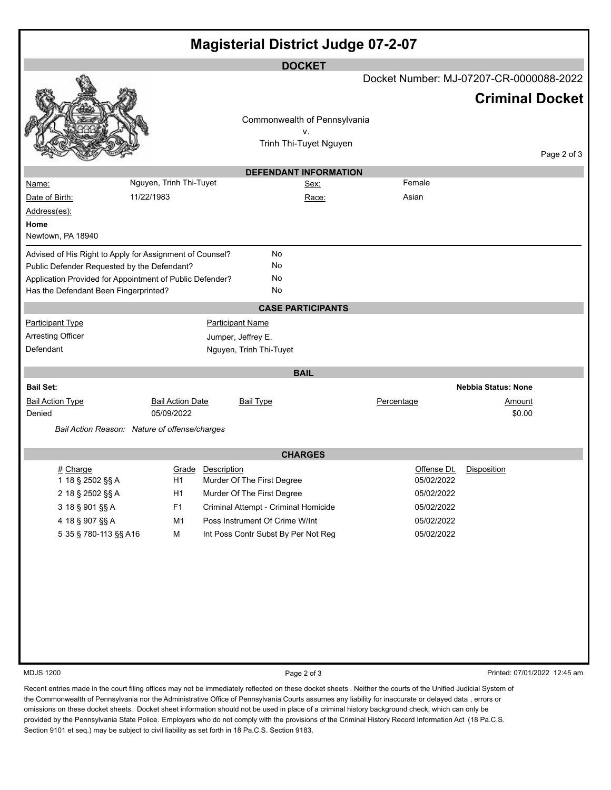| <b>Magisterial District Judge 07-2-07</b>                |                         |                   |                                         |                        |                           |                              |                        |  |
|----------------------------------------------------------|-------------------------|-------------------|-----------------------------------------|------------------------|---------------------------|------------------------------|------------------------|--|
| <b>DOCKET</b>                                            |                         |                   |                                         |                        |                           |                              |                        |  |
|                                                          |                         |                   | Docket Number: MJ-07207-CR-0000088-2022 |                        |                           |                              |                        |  |
|                                                          |                         |                   |                                         |                        |                           |                              | <b>Criminal Docket</b> |  |
|                                                          |                         |                   | Commonwealth of Pennsylvania            |                        |                           |                              |                        |  |
|                                                          |                         |                   |                                         | v.                     |                           |                              |                        |  |
|                                                          |                         |                   |                                         | Trinh Thi-Tuyet Nguyen |                           |                              | Page 2 of 3            |  |
|                                                          |                         |                   | <b>DEFENDANT INFORMATION</b>            |                        |                           |                              |                        |  |
| <u>Name:</u>                                             | Nguyen, Trinh Thi-Tuyet |                   |                                         | Sex:                   | Female                    |                              |                        |  |
| Date of Birth:                                           | 11/22/1983              |                   |                                         | Race:                  | Asian                     |                              |                        |  |
| Address(es):                                             |                         |                   |                                         |                        |                           |                              |                        |  |
| Home                                                     |                         |                   |                                         |                        |                           |                              |                        |  |
| Newtown, PA 18940                                        |                         |                   |                                         |                        |                           |                              |                        |  |
| Advised of His Right to Apply for Assignment of Counsel? |                         |                   | No                                      |                        |                           |                              |                        |  |
| Public Defender Requested by the Defendant?              |                         |                   | No                                      |                        |                           |                              |                        |  |
| Application Provided for Appointment of Public Defender? |                         |                   | No                                      |                        |                           |                              |                        |  |
| Has the Defendant Been Fingerprinted?                    |                         |                   | No                                      |                        |                           |                              |                        |  |
|                                                          |                         |                   | <b>CASE PARTICIPANTS</b>                |                        |                           |                              |                        |  |
| <b>Participant Type</b>                                  |                         |                   | <b>Participant Name</b>                 |                        |                           |                              |                        |  |
| <b>Arresting Officer</b>                                 |                         |                   | Jumper, Jeffrey E.                      |                        |                           |                              |                        |  |
| Defendant                                                |                         |                   | Nguyen, Trinh Thi-Tuyet                 |                        |                           |                              |                        |  |
|                                                          |                         |                   |                                         |                        |                           |                              |                        |  |
|                                                          |                         |                   | <b>BAIL</b>                             |                        |                           |                              |                        |  |
| <b>Bail Set:</b>                                         |                         |                   |                                         |                        |                           | <b>Nebbia Status: None</b>   |                        |  |
| <b>Bail Action Type</b>                                  | <b>Bail Action Date</b> |                   | <b>Bail Type</b>                        |                        | Percentage                | Amount                       |                        |  |
| Denied                                                   | 05/09/2022              |                   |                                         |                        |                           | \$0.00                       |                        |  |
| Bail Action Reason: Nature of offense/charges            |                         |                   |                                         |                        |                           |                              |                        |  |
| <b>CHARGES</b>                                           |                         |                   |                                         |                        |                           |                              |                        |  |
|                                                          |                         |                   |                                         |                        |                           |                              |                        |  |
| $#$ Charge<br>1 18 § 2502 §§ A                           | H1                      | Grade Description | Murder Of The First Degree              |                        | Offense Dt.<br>05/02/2022 | <b>Disposition</b>           |                        |  |
| 2 18 § 2502 §§ A                                         | H1                      |                   | Murder Of The First Degree              |                        | 05/02/2022                |                              |                        |  |
| 3 18 § 901 §§ A                                          | F <sub>1</sub>          |                   | Criminal Attempt - Criminal Homicide    |                        | 05/02/2022                |                              |                        |  |
| 4 18 § 907 §§ A                                          | M1                      |                   | Poss Instrument Of Crime W/Int          |                        | 05/02/2022                |                              |                        |  |
| 5 35 § 780-113 §§ A16                                    | M                       |                   | Int Poss Contr Subst By Per Not Reg     |                        | 05/02/2022                |                              |                        |  |
|                                                          |                         |                   |                                         |                        |                           |                              |                        |  |
|                                                          |                         |                   |                                         |                        |                           |                              |                        |  |
|                                                          |                         |                   |                                         |                        |                           |                              |                        |  |
|                                                          |                         |                   |                                         |                        |                           |                              |                        |  |
|                                                          |                         |                   |                                         |                        |                           |                              |                        |  |
|                                                          |                         |                   |                                         |                        |                           |                              |                        |  |
|                                                          |                         |                   |                                         |                        |                           |                              |                        |  |
|                                                          |                         |                   |                                         |                        |                           |                              |                        |  |
|                                                          |                         |                   |                                         |                        |                           |                              |                        |  |
| <b>MDJS 1200</b>                                         |                         |                   |                                         |                        |                           |                              |                        |  |
|                                                          |                         |                   | Page 2 of 3                             |                        |                           | Printed: 07/01/2022 12:45 am |                        |  |

Recent entries made in the court filing offices may not be immediately reflected on these docket sheets . Neither the courts of the Unified Judicial System of the Commonwealth of Pennsylvania nor the Administrative Office of Pennsylvania Courts assumes any liability for inaccurate or delayed data , errors or omissions on these docket sheets. Docket sheet information should not be used in place of a criminal history background check, which can only be provided by the Pennsylvania State Police. Employers who do not comply with the provisions of the Criminal History Record Information Act (18 Pa.C.S. Section 9101 et seq.) may be subject to civil liability as set forth in 18 Pa.C.S. Section 9183.